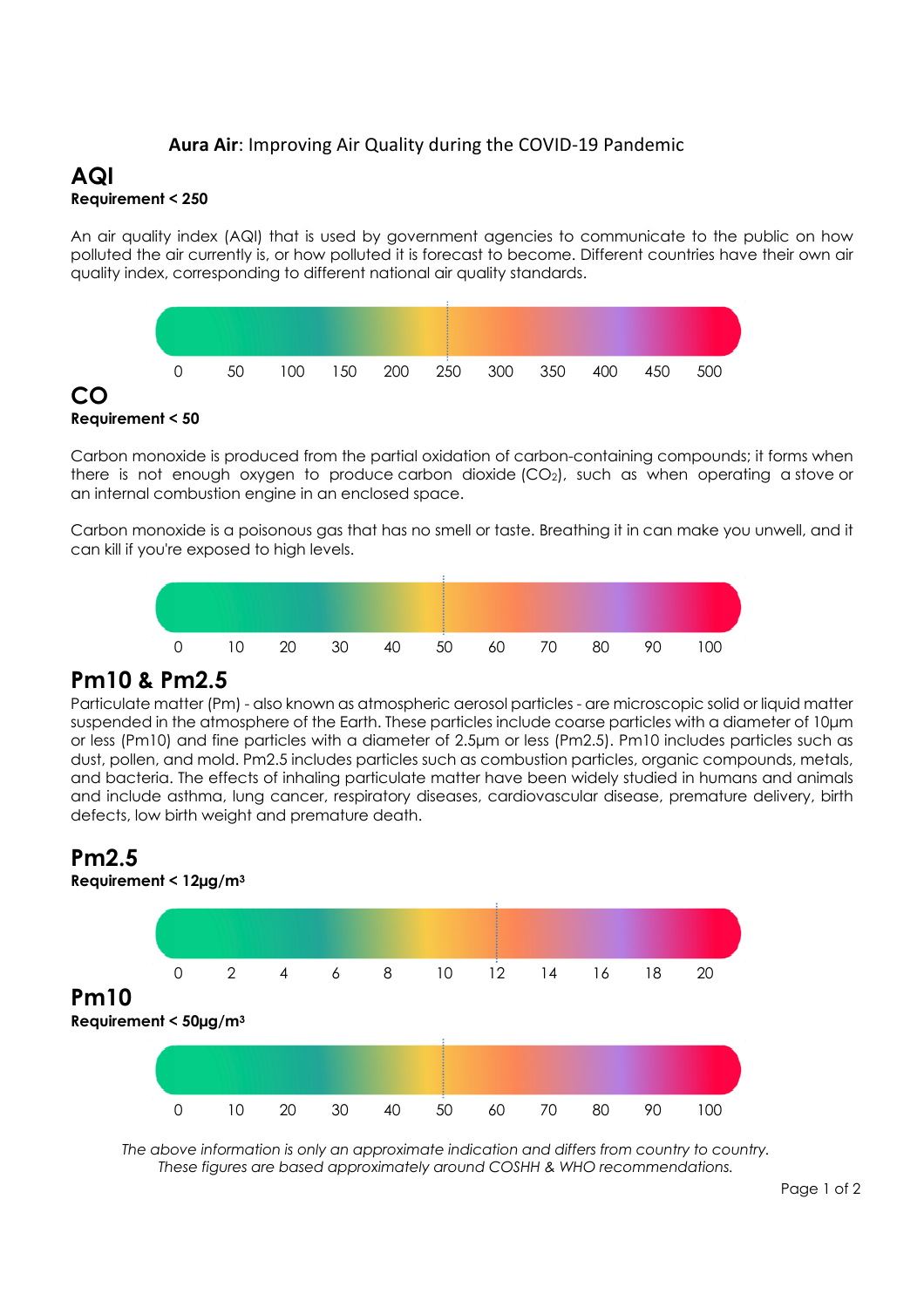### **Aura Air**: Improving Air Quality during the COVID-19 Pandemic

## **AQI Requirement < 250**

An air quality index (AQI) that is used by government agencies to communicate to the public on how polluted the air currently is, or how polluted it is forecast to become. Different countries have their own air quality index, corresponding to different national air quality standards.



**Requirement < 50**

**CO**

Carbon monoxide is produced from the partial oxidation of carbon-containing compounds; it forms when there is not enough oxygen to produce carbon dioxide  $(CO<sub>2</sub>)$ , such as when operating a stove or an internal combustion engine in an enclosed space.

Carbon monoxide is a poisonous gas that has no smell or taste. Breathing it in can make you unwell, and it can kill if you're exposed to high levels.



# **Pm10 & Pm2.5**

Particulate matter (Pm) - also known as atmospheric aerosol particles - are microscopic solid or liquid matter suspended in the atmosphere of the Earth. These particles include coarse particles with a diameter of 10µm or less (Pm10) and fine particles with a diameter of 2.5µm or less (Pm2.5). Pm10 includes particles such as dust, pollen, and mold. Pm2.5 includes particles such as combustion particles, organic compounds, metals, and bacteria. The effects of inhaling particulate matter have been widely studied in humans and animals and include asthma, lung cancer, respiratory diseases, cardiovascular disease, premature delivery, birth defects, low birth weight and premature death.

# **Pm2.5**



*The above information is only an approximate indication and differs from country to country. These figures are based approximately around COSHH & WHO recommendations.*